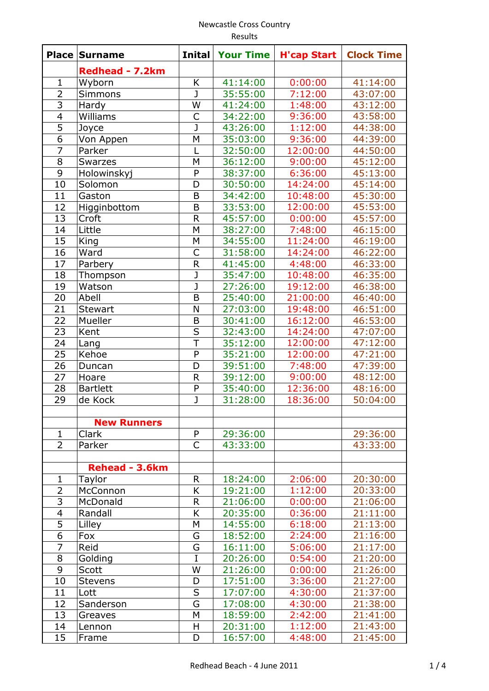| <b>Place</b>   | <b>Surname</b>     | <b>Inital</b> | <b>Your Time</b> | <b>H'cap Start</b> | <b>Clock Time</b> |
|----------------|--------------------|---------------|------------------|--------------------|-------------------|
|                | Redhead - 7.2km    |               |                  |                    |                   |
| $\mathbf{1}$   | Wyborn             | K             | 41:14:00         | 0:00:00            | 41:14:00          |
| $\overline{2}$ | <b>Simmons</b>     | J             | 35:55:00         | 7:12:00            | 43:07:00          |
| $\overline{3}$ | Hardy              | W             | 41:24:00         | 1:48:00            | 43:12:00          |
| $\overline{4}$ | Williams           | C             | 34:22:00         | 9:36:00            | 43:58:00          |
| $\overline{5}$ | Joyce              | $\mathbf{J}$  | 43:26:00         | 1:12:00            | 44:38:00          |
| 6              | Von Appen          | M             | 35:03:00         | 9:36:00            | 44:39:00          |
| $\overline{7}$ | Parker             |               | 32:50:00         | 12:00:00           | 44:50:00          |
| 8              | <b>Swarzes</b>     | M             | 36:12:00         | 9:00:00            | 45:12:00          |
| 9              | Holowinskyj        | P             | 38:37:00         | 6:36:00            | 45:13:00          |
| 10             | Solomon            | D             | 30:50:00         | 14:24:00           | 45:14:00          |
| 11             | Gaston             | B             | 34:42:00         | 10:48:00           | 45:30:00          |
| 12             | Higginbottom       | B             | 33:53:00         | 12:00:00           | 45:53:00          |
| 13             | Croft              | $\mathsf{R}$  | 45:57:00         | 0:00:00            | 45:57:00          |
| 14             | Little             | M             | 38:27:00         | 7:48:00            | 46:15:00          |
| 15             | King               | M             | 34:55:00         | 11:24:00           | 46:19:00          |
| 16             | Ward               | C             | 31:58:00         | 14:24:00           | 46:22:00          |
| 17             | Parbery            | $\mathsf{R}$  | 41:45:00         | 4:48:00            | 46:33:00          |
| 18             | Thompson           | J             | 35:47:00         | 10:48:00           | 46:35:00          |
| 19             | Watson             | J             | 27:26:00         | 19:12:00           | 46:38:00          |
| 20             | Abell              | B             | 25:40:00         | 21:00:00           | 46:40:00          |
| 21             | <b>Stewart</b>     | N             | 27:03:00         | 19:48:00           | 46:51:00          |
| 22             | Mueller            | B             | 30:41:00         | 16:12:00           | 46:53:00          |
| 23             | Kent               | S             | 32:43:00         | 14:24:00           | 47:07:00          |
| 24             | Lang               | T             | 35:12:00         | 12:00:00           | 47:12:00          |
| 25             | Kehoe              | P             | 35:21:00         | 12:00:00           | 47:21:00          |
| 26             | Duncan             | D             | 39:51:00         | 7:48:00            | 47:39:00          |
| 27             | Hoare              | $\mathsf{R}$  | 39:12:00         | 9:00:00            | 48:12:00          |
| 28             | <b>Bartlett</b>    | ${\sf P}$     | 35:40:00         | 12:36:00           | 48:16:00          |
| 29             | de Kock            | J             | 31:28:00         | 18:36:00           | 50:04:00          |
|                |                    |               |                  |                    |                   |
|                | <b>New Runners</b> |               |                  |                    |                   |
| $\mathbf 1$    | Clark              | P             | 29:36:00         |                    | 29:36:00          |
| $\overline{2}$ | Parker             | $\mathsf{C}$  | 43:33:00         |                    | 43:33:00          |
|                |                    |               |                  |                    |                   |
|                | Rehead - 3.6km     |               |                  |                    |                   |
| 1              | Taylor             | R             | 18:24:00         | 2:06:00            | 20:30:00          |
| $\overline{2}$ | McConnon           | K             | 19:21:00         | 1:12:00            | 20:33:00          |
| 3              | McDonald           | ${\sf R}$     | 21:06:00         | 0:00:00            | 21:06:00          |
| 4              | Randall            | K             | 20:35:00         | 0:36:00            | 21:11:00          |
| $\overline{5}$ | Lilley             | M             | 14:55:00         | 6:18:00            | 21:13:00          |
| 6              | Fox                | G             | 18:52:00         | 2:24:00            | 21:16:00          |
| $\overline{7}$ | Reid               | G             | 16:11:00         | 5:06:00            | 21:17:00          |
| 8              | Golding            | $\mathbf I$   | 20:26:00         | 0:54:00            | 21:20:00          |
| 9              | Scott              | W             | 21:26:00         | 0:00:00            | 21:26:00          |
| 10             | <b>Stevens</b>     | D             | 17:51:00         | 3:36:00            | 21:27:00          |
| 11             | Lott               | S             | 17:07:00         | 4:30:00            | 21:37:00          |
| 12             | Sanderson          | G             | 17:08:00         | 4:30:00            | 21:38:00          |
| 13             | Greaves            | M             | 18:59:00         | 2:42:00            | 21:41:00          |
| 14             | Lennon             | Н             | 20:31:00         | 1:12:00            | 21:43:00          |
| 15             | Frame              | D             | 16:57:00         | 4:48:00            | 21:45:00          |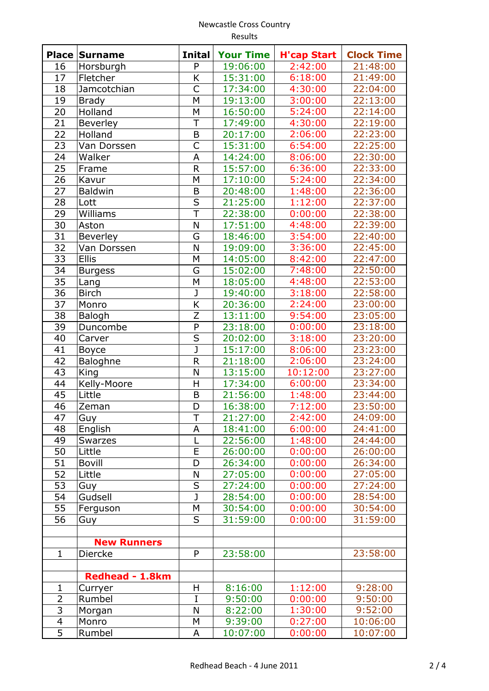| <b>Place</b>    | <b>Surname</b>         | <b>Inital</b>           | <b>Your Time</b> | <b>H'cap Start</b> | <b>Clock Time</b> |
|-----------------|------------------------|-------------------------|------------------|--------------------|-------------------|
| 16              | Horsburgh              | P                       | 19:06:00         | 2:42:00            | 21:48:00          |
| 17              | Fletcher               | K                       | 15:31:00         | 6:18:00            | 21:49:00          |
| 18              | Jamcotchian            | $\mathsf{C}$            | 17:34:00         | 4:30:00            | 22:04:00          |
| 19              | <b>Brady</b>           | M                       | 19:13:00         | 3:00:00            | 22:13:00          |
| 20              | Holland                | M                       | 16:50:00         | 5:24:00            | 22:14:00          |
| 21              | Beverley               | T                       | 17:49:00         | 4:30:00            | 22:19:00          |
| 22              | Holland                | $\sf B$                 | 20:17:00         | 2:06:00            | 22:23:00          |
| 23              | Van Dorssen            | $\mathsf{C}$            | 15:31:00         | 6:54:00            | 22:25:00          |
| 24              | Walker                 | A                       | 14:24:00         | 8:06:00            | 22:30:00          |
| 25              | Frame                  | $\mathsf{R}$            | 15:57:00         | 6:36:00            | 22:33:00          |
| 26              | Kavur                  | M                       | 17:10:00         | 5:24:00            | 22:34:00          |
| 27              | <b>Baldwin</b>         | $\sf B$                 | 20:48:00         | 1:48:00            | 22:36:00          |
| 28              | Lott                   | $\sf S$                 | 21:25:00         | 1:12:00            | 22:37:00          |
| 29              | Williams               | $\overline{\top}$       | 22:38:00         | 0:00:00            | 22:38:00          |
| $\overline{30}$ | Aston                  | $\mathsf{N}$            | 17:51:00         | 4:48:00            | 22:39:00          |
| 31              | <b>Beverley</b>        | G                       | 18:46:00         | 3:54:00            | 22:40:00          |
| 32              | Van Dorssen            | N                       | 19:09:00         | 3:36:00            | 22:45:00          |
| 33              | <b>Ellis</b>           | M                       | 14:05:00         | 8:42:00            | 22:47:00          |
| 34              | <b>Burgess</b>         | G                       | 15:02:00         | 7:48:00            | 22:50:00          |
| 35              | Lang                   | M                       | 18:05:00         | 4:48:00            | 22:53:00          |
| 36              | <b>Birch</b>           | J                       | 19:40:00         | 3:18:00            | 22:58:00          |
| 37              | Monro                  | K                       | 20:36:00         | 2:24:00            | 23:00:00          |
| 38              | Balogh                 | Z                       | 13:11:00         | 9:54:00            | 23:05:00          |
| 39              | Duncombe               | $\mathsf{P}$            | 23:18:00         | 0:00:00            | 23:18:00          |
| 40              | Carver                 | S                       | 20:02:00         | 3:18:00            | 23:20:00          |
| 41              | <b>Boyce</b>           | $\overline{\mathsf{J}}$ | 15:17:00         | 8:06:00            | 23:23:00          |
| 42              | Baloghne               | $\mathsf R$             | 21:18:00         | 2:06:00            | 23:24:00          |
| 43              | King                   | N                       | 13:15:00         | 10:12:00           | 23:27:00          |
| 44              | Kelly-Moore            | $\mathsf{H}$            | 17:34:00         | 6:00:00            | 23:34:00          |
| 45              | Little                 | B                       | 21:56:00         | 1:48:00            | 23:44:00          |
| 46              | Zeman                  | D                       | 16:38:00         | 7:12:00            | 23:50:00          |
| 47              | Guy                    | Τ                       | 21:27:00         | 2:42:00            | 24:09:00          |
| 48              | English                | A                       | 18:41:00         | 6:00:00            | 24:41:00          |
| 49              | <b>Swarzes</b>         | L                       | 22:56:00         | 1:48:00            | 24:44:00          |
| 50              | Little                 | E                       | 26:00:00         | 0:00:00            | 26:00:00          |
| 51              | <b>Bovill</b>          | D                       | 26:34:00         | 0:00:00            | 26:34:00          |
| 52              | Little                 | N                       | 27:05:00         | 0:00:00            | 27:05:00          |
| 53              | Guy                    | $\mathsf S$             | 27:24:00         | 0:00:00            | 27:24:00          |
| 54              | Gudsell                | J                       | 28:54:00         | 0:00:00            | 28:54:00          |
| 55              | Ferguson               | M                       | 30:54:00         | 0:00:00            | 30:54:00          |
| 56              | Guy                    | S                       | 31:59:00         | 0:00:00            | 31:59:00          |
|                 |                        |                         |                  |                    |                   |
|                 | <b>New Runners</b>     |                         |                  |                    |                   |
| $\mathbf{1}$    | Diercke                | P                       | 23:58:00         |                    | 23:58:00          |
|                 |                        |                         |                  |                    |                   |
|                 | <b>Redhead - 1.8km</b> |                         |                  |                    |                   |
| $\mathbf{1}$    | Curryer                | Н                       | 8:16:00          | 1:12:00            | 9:28:00           |
| $\overline{2}$  | Rumbel                 | $\mathbf I$             | 9:50:00          | 0:00:00            | 9:50:00           |
| 3               | Morgan                 | N                       | 8:22:00          | 1:30:00            | 9:52:00           |
| 4               | Monro                  | M                       | 9:39:00          | 0:27:00            | 10:06:00          |
| $\overline{5}$  | Rumbel                 | A                       | 10:07:00         | 0:00:00            | 10:07:00          |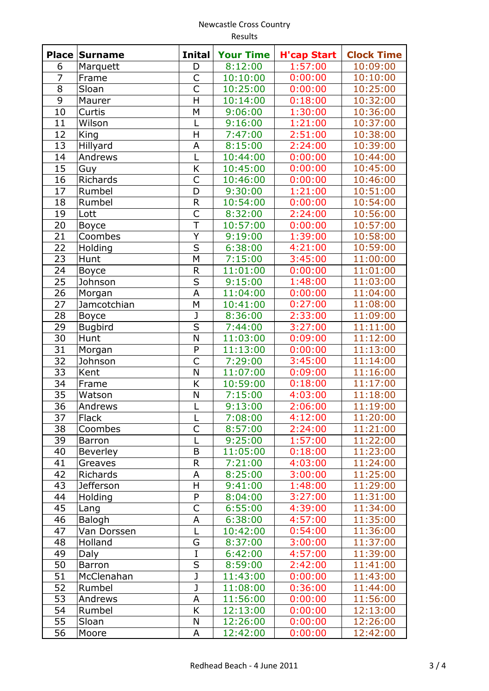| <b>Place</b>   | <b>Surname</b>   | <b>Inital</b>                | <b>Your Time</b> | <b>H'cap Start</b> | <b>Clock Time</b> |
|----------------|------------------|------------------------------|------------------|--------------------|-------------------|
| 6              | Marquett         | D                            | 8:12:00          | 1:57:00            | 10:09:00          |
| $\overline{7}$ | Frame            | $\mathsf{C}$                 | 10:10:00         | 0:00:00            | 10:10:00          |
| $\overline{8}$ | Sloan            | $\overline{\mathsf{C}}$      | 10:25:00         | 0:00:00            | 10:25:00          |
| $\overline{9}$ | Maurer           | H                            | 10:14:00         | 0:18:00            | 10:32:00          |
| 10             | Curtis           | M                            | 9:06:00          | 1:30:00            | 10:36:00          |
| 11             | Wilson           | L                            | 9:16:00          | 1:21:00            | 10:37:00          |
| 12             | King             | $\mathsf{H}$                 | 7:47:00          | 2:51:00            | 10:38:00          |
| 13             | Hillyard         | A                            | 8:15:00          | 2:24:00            | 10:39:00          |
| 14             | Andrews          | L                            | 10:44:00         | 0:00:00            | 10:44:00          |
| 15             | Guy              | K                            | 10:45:00         | 0:00:00            | 10:45:00          |
| 16             | Richards         | $\mathsf{C}$                 | 10:46:00         | 0:00:00            | 10:46:00          |
| 17             | Rumbel           | D                            | 9:30:00          | 1:21:00            | 10:51:00          |
| 18             | Rumbel           | $\mathsf R$                  | 10:54:00         | 0:00:00            | 10:54:00          |
| 19             | Lott             | $\mathsf{C}$                 | 8:32:00          | 2:24:00            | 10:56:00          |
| 20             | <b>Boyce</b>     | T                            | 10:57:00         | 0:00:00            | 10:57:00          |
| 21             | Coombes          | Ÿ                            | 9:19:00          | 1:39:00            | 10:58:00          |
| 22             | Holding          | S                            | 6:38:00          | 4:21:00            | 10:59:00          |
| 23             | Hunt             | M                            | 7:15:00          | 3:45:00            | 11:00:00          |
| 24             | <b>Boyce</b>     | $\mathsf R$                  | 11:01:00         | 0:00:00            | 11:01:00          |
| 25             | Johnson          | $\overline{\mathsf{s}}$      | 9:15:00          | 1:48:00            | 11:03:00          |
| 26             | Morgan           | A                            | 11:04:00         | 0:00:00            | 11:04:00          |
| 27             | Jamcotchian      | M                            | 10:41:00         | 0:27:00            | 11:08:00          |
| 28             | <b>Boyce</b>     | J                            | 8:36:00          | 2:33:00            | 11:09:00          |
| 29             | <b>Bugbird</b>   | S                            | 7:44:00          | 3:27:00            | 11:11:00          |
| 30             | Hunt             | $\mathsf{N}$                 | 11:03:00         | 0:09:00            | 11:12:00          |
| 31             | Morgan           | ${\sf P}$                    | 11:13:00         | 0:00:00            | 11:13:00          |
| 32             | Johnson          | $\mathsf{C}$                 | 7:29:00          | 3:45:00            | 11:14:00          |
| 33             | Kent             | $\mathsf{N}$                 | 11:07:00         | 0:09:00            | 11:16:00          |
| 34             | Frame            | K                            | 10:59:00         | 0:18:00            | 11:17:00          |
| 35             | Watson           | N                            | 7:15:00          | 4:03:00            | 11:18:00          |
| 36             | Andrews          | L                            | 9:13:00          | 2:06:00            | 11:19:00          |
| 37             | Flack            | L                            | 7:08:00          | 4:12:00            | 11:20:00          |
| 38             | Coombes          | С                            | 8:57:00          | 2:24:00            | 11:21:00          |
| 39             | <b>Barron</b>    | L                            | 9:25:00          | 1:57:00            | 11:22:00          |
| 40             | Beverley         | B                            | 11:05:00         | 0:18:00            | 11:23:00          |
| 41             | Greaves          | $\mathsf{R}$                 | 7:21:00          | 4:03:00            | 11:24:00          |
| 42             | Richards         | A                            | 8:25:00          | 3:00:00            | 11:25:00          |
| 43             | <b>Jefferson</b> | H                            | 9:41:00          | 1:48:00            | 11:29:00          |
| 44             | Holding          | P                            | 8:04:00          | 3:27:00            | 11:31:00          |
| 45             | Lang             | $\overline{C}$               | 6:55:00          | 4:39:00            | 11:34:00          |
| 46             | Balogh           | Α                            | 6:38:00          | 4:57:00            | 11:35:00          |
| 47             | Van Dorssen      | L                            | 10:42:00         | 0:54:00            | 11:36:00          |
| 48             | Holland          | G                            | 8:37:00          | 3:00:00            | 11:37:00          |
| 49             |                  | I                            | 6:42:00          | 4:57:00            | 11:39:00          |
| 50             | <b>Daly</b>      | S                            | 8:59:00          |                    |                   |
|                | <b>Barron</b>    |                              |                  | 2:42:00            | 11:41:00          |
| 51             | McClenahan       | J<br>$\overline{\mathsf{J}}$ | 11:43:00         | 0:00:00            | 11:43:00          |
| 52             | Rumbel           |                              | 11:08:00         | 0:36:00            | 11:44:00          |
| 53             | Andrews          | A                            | 11:56:00         | 0:00:00            | 11:56:00          |
| 54             | Rumbel           | K                            | 12:13:00         | 0:00:00            | 12:13:00          |
| 55             | Sloan            | N                            | 12:26:00         | 0:00:00            | 12:26:00          |
| 56             | Moore            | A                            | 12:42:00         | 0:00:00            | 12:42:00          |